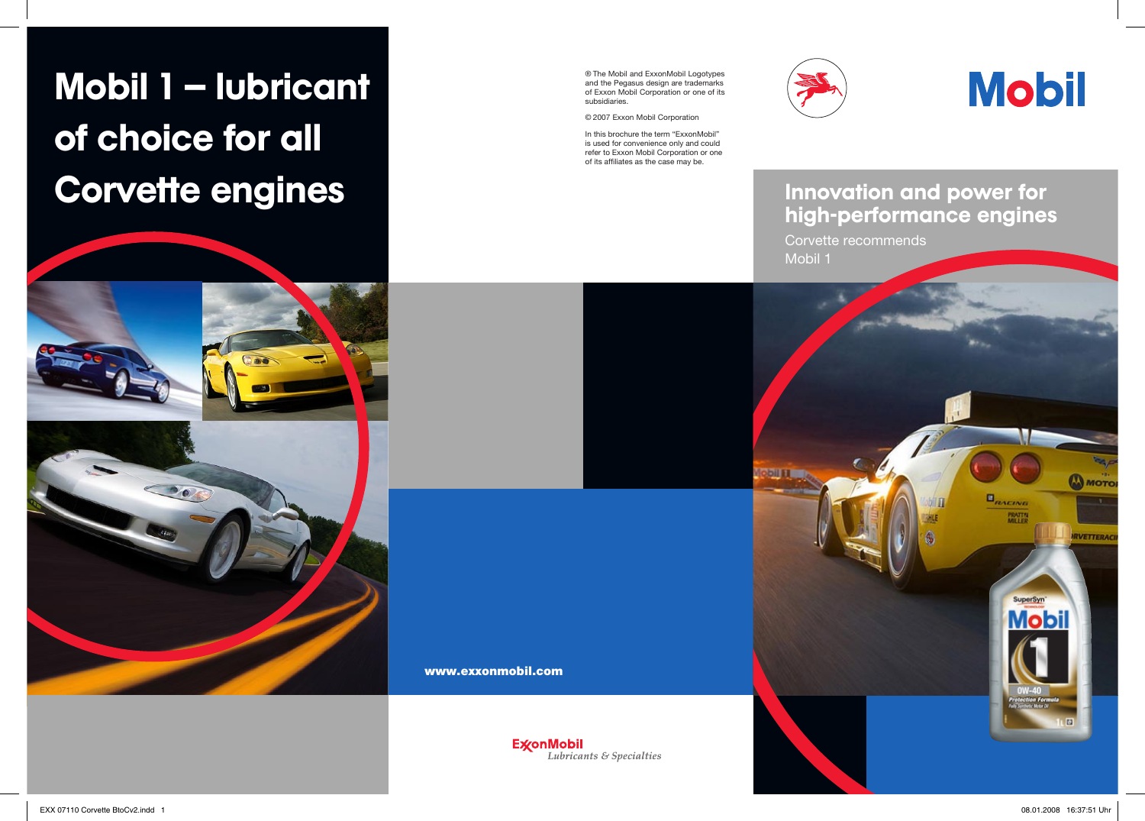# Mobil 1 – lubricant of choice for all Corvette engines





® The Mobil and ExxonMobil Logotypes and the Pegasus design are trademarks of Exxon Mobil Corporation or one of its subsidiaries.

© 2007 Exxon Mobil Corporation

In this brochure the term "ExxonMobil" is used for convenience only and could refer to Exxon Mobil Corporation or one of its affiliates as the case may be.





## Innovation and power for high-performance engines

Corvette recommends Mobil 1



www.exxonmobil.com

**ExconMobil** Lubricants & Specialties